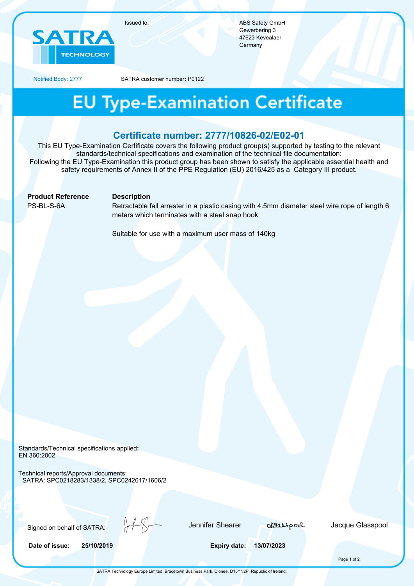

ABS Safety GmbH Gewerbering 3 47623 Kevealaer **Germany** 

Notified Body: 2777 SATRA customer number**:** P0122

## **EU Type-Examination Certificate**

### **Certificate number: 2777/10826-02/E02-01**

This EU Type-Examination Certificate covers the following product group(s) supported by testing to the relevant standards/technical specifications and examination of the technical file documentation: Following the EU Type-Examination this product group has been shown to satisfy the applicable essential health and safety requirements of Annex II of the PPE Regulation (EU) 2016/425 as a Category III product.

**Product Reference Description** 

PS-BL-S-6A Retractable fall arrester in a plastic casing with 4.5mm diameter steel wire rope of length 6 meters which terminates with a steel snap hook

Suitable for use with a maximum user mass of 140kg

Standards/Technical specifications applied**:** EN 360:2002

Technical reports/Approval documents: SATRA: SPC0218283/1338/2, SPC0242617/1606/2

Signed on behalf of SATRA:

Jennifer Shearer

delasspool

Jacque Glasspool

**Date of issue: 25/10/2019 Expiry date: 13/07/2023**

Page 1 of 2

SATRA Technology Europe Limited. Bracetown Business Park. Clonee. D15YN2P. Republic of Ireland.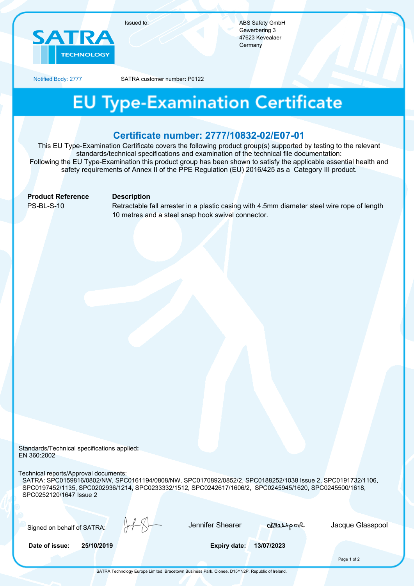

ABS Safety GmbH Gewerbering 3 47623 Kevealaer **Germany** 

Notified Body: 2777 SATRA customer number**:** P0122

### **EU Type-Examination Certificate**

#### **Certificate number: 2777/10832-02/E07-01**

This EU Type-Examination Certificate covers the following product group(s) supported by testing to the relevant standards/technical specifications and examination of the technical file documentation: Following the EU Type-Examination this product group has been shown to satisfy the applicable essential health and safety requirements of Annex II of the PPE Regulation (EU) 2016/425 as a Category III product.

**Product Reference Description** 

PS-BL-S-10 Retractable fall arrester in a plastic casing with 4.5mm diameter steel wire rope of length 10 metres and a steel snap hook swivel connector.

Standards/Technical specifications applied**:** EN 360:2002

Technical reports/Approval documents:

SATRA: SPC0159816/0802/NW, SPC0161194/0808/NW, SPC0170892/0852/2, SPC0188252/1038 Issue 2, SPC0191732/1106, SPC0197452/1135, SPC0202936/1214, SPC0233332/1512, SPC0242617/1606/2, SPC0245945/1620, SPC0245500/1618, SPC0252120/1647 Issue 2

Signed on behalf of SATRA:

Jennifer Shearer

delasspool

Jacque Glasspool

**Date of issue: 25/10/2019 Expiry date: 13/07/2023**

Page 1 of 2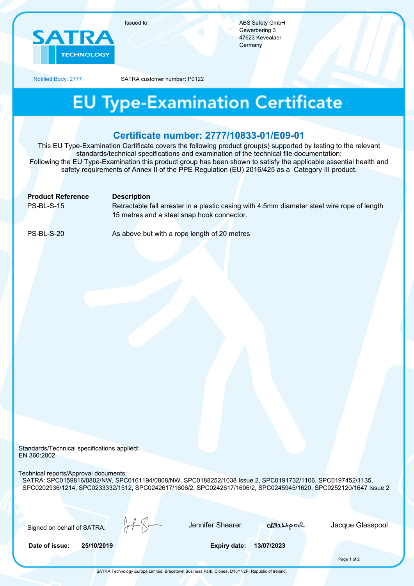

ABS Safety GmbH Gewerbering 3 47623 Kevealaer **Germany** 

Notified Body: 2777 SATRA customer number**:** P0122

## **EU Type-Examination Certificate**

### **Certificate number: 2777/10833-01/E09-01**

This EU Type-Examination Certificate covers the following product group(s) supported by testing to the relevant standards/technical specifications and examination of the technical file documentation: Following the EU Type-Examination this product group has been shown to satisfy the applicable essential health and safety requirements of Annex II of the PPE Regulation (EU) 2016/425 as a Category III product.

|                   | <b>Product Reference</b> | <b>Description</b>                                                                          |
|-------------------|--------------------------|---------------------------------------------------------------------------------------------|
| <b>PS-BL-S-15</b> |                          | Retractable fall arrester in a plastic casing with 4.5mm diameter steel wire rope of length |
|                   |                          | 15 metres and a steel snap hook connector.                                                  |
|                   |                          |                                                                                             |
| PS-BL-S-20        |                          | As above but with a rope length of 20 metres                                                |

Standards/Technical specifications applied**:** EN 360:2002

Technical reports/Approval documents:

SATRA: SPC0159816/0802/NW, SPC0161194/0808/NW, SPC0188252/1038 Issue 2, SPC0191732/1106, SPC0197452/1135, SPC0202936/1214, SPC0233332/1512, SPC0242617/1606/2, SPC0242617/1606/2, SPC0245945/1620, SPC0252120/1647 Issue 2

Signed on behalf of SATRA:

Jennifer Shearer

delasspool

Jacque Glasspool

**Date of issue: 25/10/2019 Expiry date: 13/07/2023**

Page 1 of 2